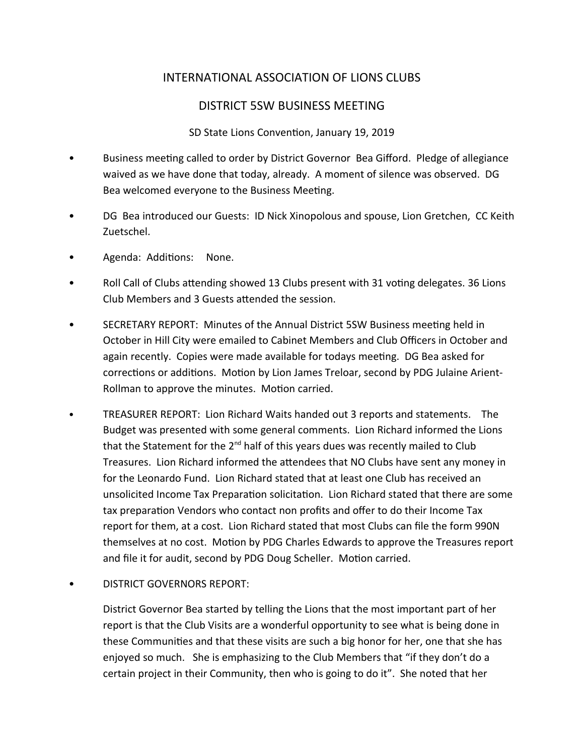# INTERNATIONAL ASSOCIATION OF LIONS CLUBS

## DISTRICT 5SW BUSINESS MEETING

### SD State Lions Convention, January 19, 2019

- Business meeting called to order by District Governor Bea Gifford. Pledge of allegiance waived as we have done that today, already. A moment of silence was observed. DG Bea welcomed everyone to the Business Meeting.
- DG Bea introduced our Guests: ID Nick Xinopolous and spouse, Lion Gretchen, CC Keith Zuetschel.
- Agenda: Additions: None.
- Roll Call of Clubs attending showed 13 Clubs present with 31 voting delegates. 36 Lions Club Members and 3 Guests attended the session.
- SECRETARY REPORT: Minutes of the Annual District 5SW Business meeting held in October in Hill City were emailed to Cabinet Members and Club Officers in October and again recently. Copies were made available for todays meeting. DG Bea asked for corrections or additions. Motion by Lion James Treloar, second by PDG Julaine Arient-Rollman to approve the minutes. Motion carried.
- TREASURER REPORT: Lion Richard Waits handed out 3 reports and statements. The Budget was presented with some general comments. Lion Richard informed the Lions that the Statement for the  $2^{nd}$  half of this years dues was recently mailed to Club Treasures. Lion Richard informed the attendees that NO Clubs have sent any money in for the Leonardo Fund. Lion Richard stated that at least one Club has received an unsolicited Income Tax Preparation solicitation. Lion Richard stated that there are some tax preparation Vendors who contact non profits and offer to do their Income Tax report for them, at a cost. Lion Richard stated that most Clubs can file the form 990N themselves at no cost. Motion by PDG Charles Edwards to approve the Treasures report and file it for audit, second by PDG Doug Scheller. Motion carried.
- DISTRICT GOVERNORS REPORT:

District Governor Bea started by telling the Lions that the most important part of her report is that the Club Visits are a wonderful opportunity to see what is being done in these Communities and that these visits are such a big honor for her, one that she has enjoyed so much. She is emphasizing to the Club Members that "if they don't do a certain project in their Community, then who is going to do it". She noted that her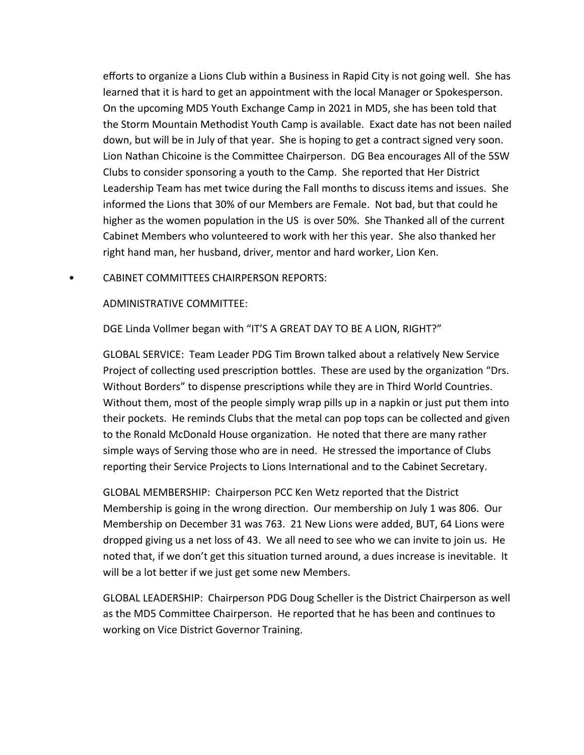efforts to organize a Lions Club within a Business in Rapid City is not going well. She has learned that it is hard to get an appointment with the local Manager or Spokesperson. On the upcoming MD5 Youth Exchange Camp in 2021 in MD5, she has been told that the Storm Mountain Methodist Youth Camp is available. Exact date has not been nailed down, but will be in July of that year. She is hoping to get a contract signed very soon. Lion Nathan Chicoine is the Committee Chairperson. DG Bea encourages All of the 5SW Clubs to consider sponsoring a youth to the Camp. She reported that Her District Leadership Team has met twice during the Fall months to discuss items and issues. She informed the Lions that 30% of our Members are Female. Not bad, but that could he higher as the women population in the US is over 50%. She Thanked all of the current Cabinet Members who volunteered to work with her this year. She also thanked her right hand man, her husband, driver, mentor and hard worker, Lion Ken.

### • CABINET COMMITTEES CHAIRPERSON REPORTS:

#### ADMINISTRATIVE COMMITTEE:

DGE Linda Vollmer began with "IT'S A GREAT DAY TO BE A LION, RIGHT?"

GLOBAL SERVICE: Team Leader PDG Tim Brown talked about a relatively New Service Project of collecting used prescription bottles. These are used by the organization "Drs. Without Borders" to dispense prescriptions while they are in Third World Countries. Without them, most of the people simply wrap pills up in a napkin or just put them into their pockets. He reminds Clubs that the metal can pop tops can be collected and given to the Ronald McDonald House organization. He noted that there are many rather simple ways of Serving those who are in need. He stressed the importance of Clubs reporting their Service Projects to Lions International and to the Cabinet Secretary.

GLOBAL MEMBERSHIP: Chairperson PCC Ken Wetz reported that the District Membership is going in the wrong direction. Our membership on July 1 was 806. Our Membership on December 31 was 763. 21 New Lions were added, BUT, 64 Lions were dropped giving us a net loss of 43. We all need to see who we can invite to join us. He noted that, if we don't get this situation turned around, a dues increase is inevitable. It will be a lot better if we just get some new Members.

GLOBAL LEADERSHIP: Chairperson PDG Doug Scheller is the District Chairperson as well as the MD5 Committee Chairperson. He reported that he has been and continues to working on Vice District Governor Training.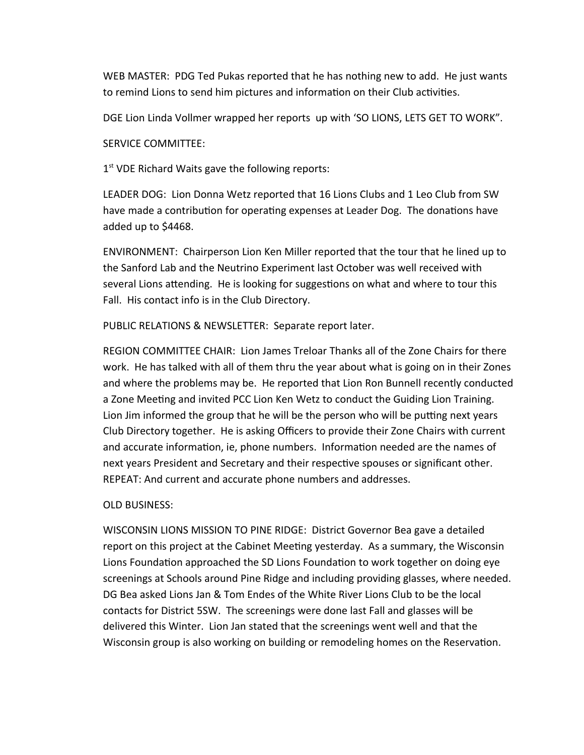WEB MASTER: PDG Ted Pukas reported that he has nothing new to add. He just wants to remind Lions to send him pictures and information on their Club activities.

DGE Lion Linda Vollmer wrapped her reports up with 'SO LIONS, LETS GET TO WORK".

SERVICE COMMITTEE:

1<sup>st</sup> VDE Richard Waits gave the following reports:

LEADER DOG: Lion Donna Wetz reported that 16 Lions Clubs and 1 Leo Club from SW have made a contribution for operating expenses at Leader Dog. The donations have added up to \$4468.

ENVIRONMENT: Chairperson Lion Ken Miller reported that the tour that he lined up to the Sanford Lab and the Neutrino Experiment last October was well received with several Lions attending. He is looking for suggestions on what and where to tour this Fall. His contact info is in the Club Directory.

PUBLIC RELATIONS & NEWSLETTER: Separate report later.

REGION COMMITTEE CHAIR: Lion James Treloar Thanks all of the Zone Chairs for there work. He has talked with all of them thru the year about what is going on in their Zones and where the problems may be. He reported that Lion Ron Bunnell recently conducted a Zone Meeting and invited PCC Lion Ken Wetz to conduct the Guiding Lion Training. Lion Jim informed the group that he will be the person who will be putting next years Club Directory together. He is asking Officers to provide their Zone Chairs with current and accurate information, ie, phone numbers. Information needed are the names of next years President and Secretary and their respective spouses or significant other. REPEAT: And current and accurate phone numbers and addresses.

## OLD BUSINESS:

WISCONSIN LIONS MISSION TO PINE RIDGE: District Governor Bea gave a detailed report on this project at the Cabinet Meeting yesterday. As a summary, the Wisconsin Lions Foundation approached the SD Lions Foundation to work together on doing eye screenings at Schools around Pine Ridge and including providing glasses, where needed. DG Bea asked Lions Jan & Tom Endes of the White River Lions Club to be the local contacts for District 5SW. The screenings were done last Fall and glasses will be delivered this Winter. Lion Jan stated that the screenings went well and that the Wisconsin group is also working on building or remodeling homes on the Reservation.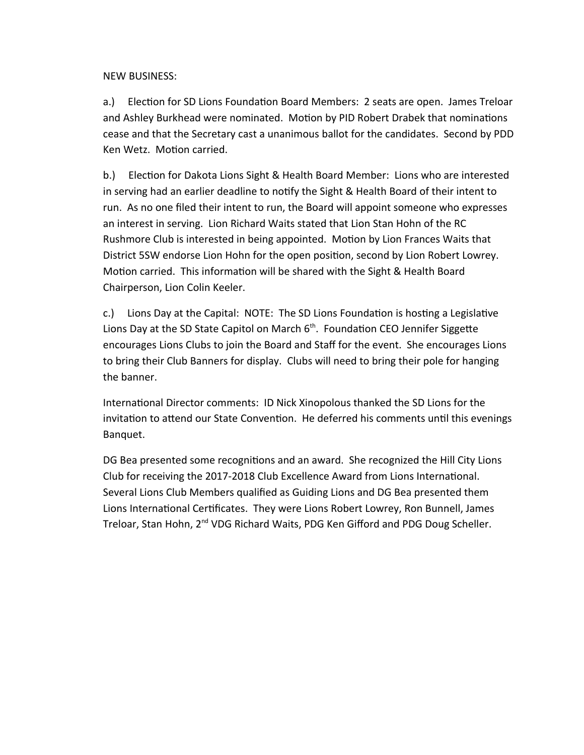NEW BUSINESS:

a.) Election for SD Lions Foundation Board Members: 2 seats are open. James Treloar and Ashley Burkhead were nominated. Motion by PID Robert Drabek that nominations cease and that the Secretary cast a unanimous ballot for the candidates. Second by PDD Ken Wetz. Motion carried.

b.) Election for Dakota Lions Sight & Health Board Member: Lions who are interested in serving had an earlier deadline to notify the Sight & Health Board of their intent to run. As no one filed their intent to run, the Board will appoint someone who expresses an interest in serving. Lion Richard Waits stated that Lion Stan Hohn of the RC Rushmore Club is interested in being appointed. Motion by Lion Frances Waits that District 5SW endorse Lion Hohn for the open position, second by Lion Robert Lowrey. Motion carried. This information will be shared with the Sight & Health Board Chairperson, Lion Colin Keeler.

c.) Lions Day at the Capital: NOTE: The SD Lions Foundation is hosting a Legislative Lions Day at the SD State Capitol on March  $6<sup>th</sup>$ . Foundation CEO Jennifer Siggette encourages Lions Clubs to join the Board and Staff for the event. She encourages Lions to bring their Club Banners for display. Clubs will need to bring their pole for hanging the banner.

International Director comments: ID Nick Xinopolous thanked the SD Lions for the invitation to attend our State Convention. He deferred his comments until this evenings Banquet.

DG Bea presented some recognitions and an award. She recognized the Hill City Lions Club for receiving the 2017-2018 Club Excellence Award from Lions International. Several Lions Club Members qualified as Guiding Lions and DG Bea presented them Lions International Certificates. They were Lions Robert Lowrey, Ron Bunnell, James Treloar, Stan Hohn, 2<sup>nd</sup> VDG Richard Waits, PDG Ken Gifford and PDG Doug Scheller.